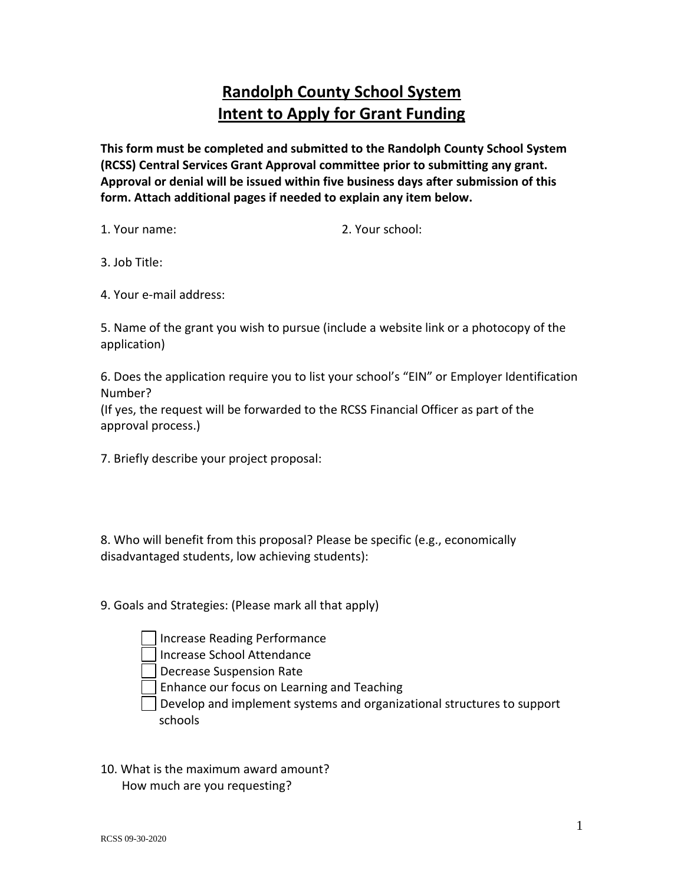# **Randolph County School System Intent to Apply for Grant Funding**

**This form must be completed and submitted to the Randolph County School System (RCSS) Central Services Grant Approval committee prior to submitting any grant. Approval or denial will be issued within five business days after submission of this form. Attach additional pages if needed to explain any item below.**

1. Your name: 2. Your school:

3. Job Title:

4. Your e-mail address:

5. Name of the grant you wish to pursue (include a website link or a photocopy of the application)

6. Does the application require you to list your school's "EIN" or Employer Identification Number?

(If yes, the request will be forwarded to the RCSS Financial Officer as part of the approval process.)

7. Briefly describe your project proposal:

8. Who will benefit from this proposal? Please be specific (e.g., economically disadvantaged students, low achieving students):

9. Goals and Strategies: (Please mark all that apply)

Increase Reading Performance

Increase School Attendance

Decrease Suspension Rate

Enhance our focus on Learning and Teaching

Develop and implement systems and organizational structures to support schools

10. What is the maximum award amount? How much are you requesting?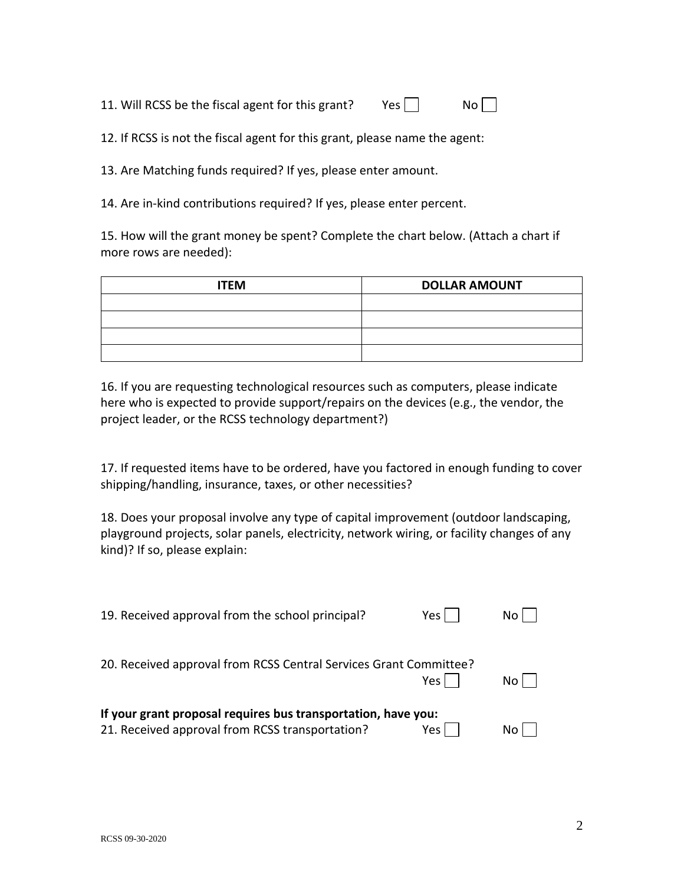11. Will RCSS be the fiscal agent for this grant? Yes  $\vert$   $\vert$  No

12. If RCSS is not the fiscal agent for this grant, please name the agent:

13. Are Matching funds required? If yes, please enter amount.

14. Are in-kind contributions required? If yes, please enter percent.

15. How will the grant money be spent? Complete the chart below. (Attach a chart if more rows are needed):

| <b>ITEM</b> | <b>DOLLAR AMOUNT</b> |  |
|-------------|----------------------|--|
|             |                      |  |
|             |                      |  |
|             |                      |  |
|             |                      |  |

16. If you are requesting technological resources such as computers, please indicate here who is expected to provide support/repairs on the devices (e.g., the vendor, the project leader, or the RCSS technology department?)

17. If requested items have to be ordered, have you factored in enough funding to cover shipping/handling, insurance, taxes, or other necessities?

18. Does your proposal involve any type of capital improvement (outdoor landscaping, playground projects, solar panels, electricity, network wiring, or facility changes of any kind)? If so, please explain:

| 19. Received approval from the school principal?                                                                 | Yes   |    |
|------------------------------------------------------------------------------------------------------------------|-------|----|
| 20. Received approval from RCSS Central Services Grant Committee?                                                | Yes   |    |
| If your grant proposal requires bus transportation, have you:<br>21. Received approval from RCSS transportation? | Yes l | NΩ |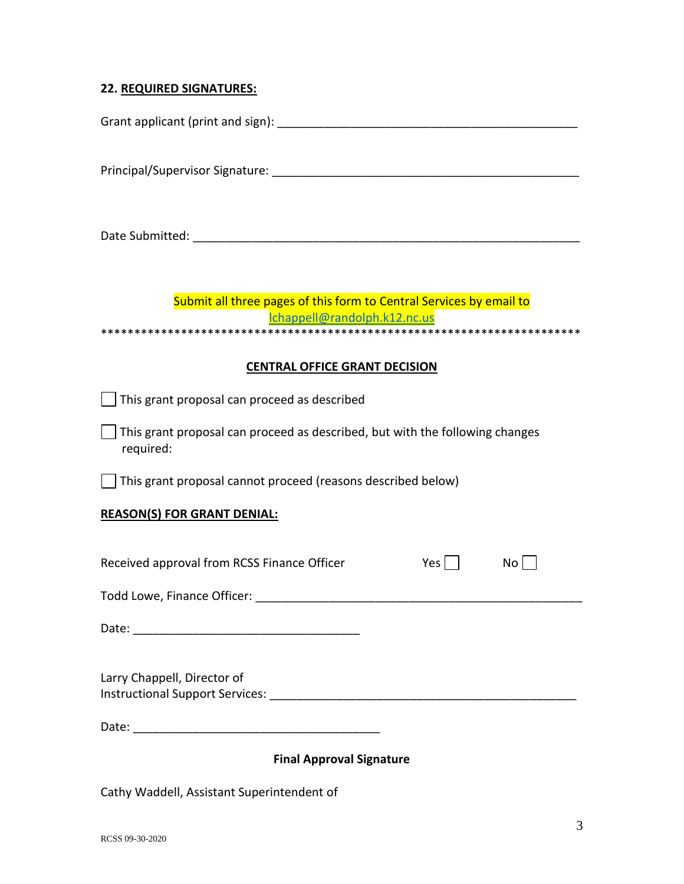## **22. REQUIRED SIGNATURES:**

Grant applicant (print and sign): **Example 20** Figure 20 Figure 20 Figure 20 Figure 20 Figure 20 Figure 20 Figure

Principal/Supervisor Signature: \_\_\_\_\_\_\_\_\_\_\_\_\_\_\_\_\_\_\_\_\_\_\_\_\_\_\_\_\_\_\_\_\_\_\_\_\_\_\_\_\_\_\_\_\_\_

Date Submitted: \_\_\_\_\_\_\_\_\_\_\_\_\_\_\_\_\_\_\_\_\_\_\_\_\_\_\_\_\_\_\_\_\_\_\_\_\_\_\_\_\_\_\_\_\_\_\_\_\_\_\_\_\_\_\_\_\_\_

### Submit all three pages of this form to Central Services by email to [lchappell@randolph.k12.nc.us](mailto:lchappell@randolph.k12.nc.us) \*\*\*\*\*\*\*\*\*\*\*\*\*\*\*\*\*\*\*\*\*\*\*\*\*\*\*\*\*\*\*\*\*\*\*\*\*\*\*\*\*\*\*\*\*\*\*\*\*\*\*\*\*\*\*\*\*\*\*\*\*\*\*\*\*\*\*\*\*\*\*\*

### **CENTRAL OFFICE GRANT DECISION**

This grant proposal can proceed as described

This grant proposal can proceed as described, but with the following changes required:

This grant proposal cannot proceed (reasons described below)

#### **REASON(S) FOR GRANT DENIAL:**

| Received approval from RCSS Finance Officer                           | Yes | No. |  |
|-----------------------------------------------------------------------|-----|-----|--|
| Todd Lowe, Finance Officer:                                           |     |     |  |
| Date:                                                                 |     |     |  |
| Larry Chappell, Director of<br><b>Instructional Support Services:</b> |     |     |  |

Date: \_\_\_\_\_\_\_\_\_\_\_\_\_\_\_\_\_\_\_\_\_\_\_\_\_\_\_\_\_\_\_\_\_\_\_\_\_

#### **Final Approval Signature**

Cathy Waddell, Assistant Superintendent of